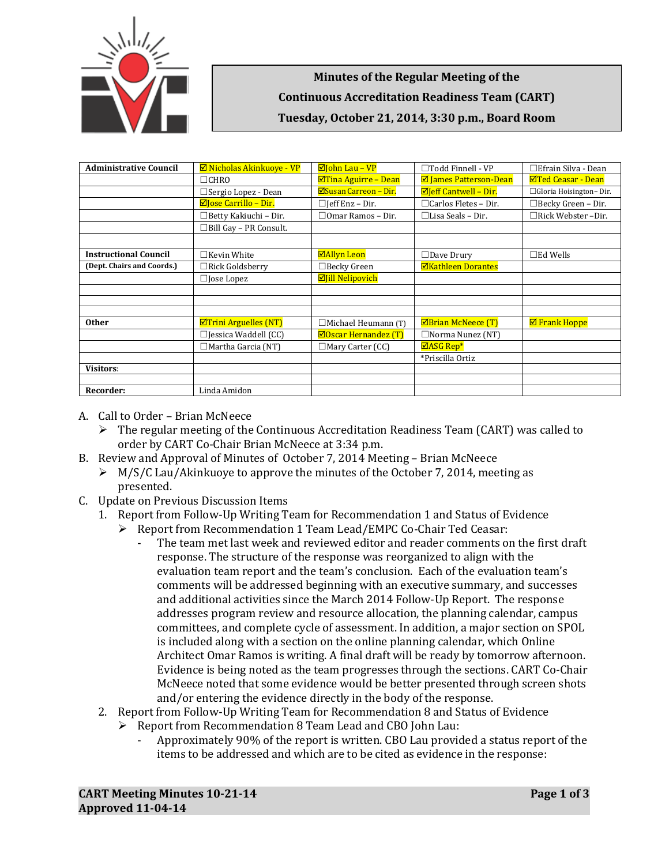

**Minutes of the Regular Meeting of the Continuous Accreditation Readiness Team (CART) Tuesday, October 21, 2014, 3:30 p.m., Board Room**

| <b>Administrative Council</b> | $\boxtimes$ Nicholas Akinkuove - VP         | ⊠John Lau - VP               | $\Box$ Todd Finnell - VP       | $\Box$ Efrain Silva - Dean |
|-------------------------------|---------------------------------------------|------------------------------|--------------------------------|----------------------------|
|                               | $\Box$ CHRO                                 | ØTina Aguirre - Dean         | <b>Ø</b> James Patterson-Dean  | <b>ØTed Ceasar - Dean</b>  |
|                               | □ Sergio Lopez - Dean                       | <b>ØSusan Carreon – Dir.</b> | $\boxdot$ Jeff Cantwell - Dir. | □ Gloria Hoisington-Dir.   |
|                               | $\boxdot$ ose Carrillo – Dir.               | $\Box$ [eff Enz – Dir.       | $\Box$ Carlos Fletes - Dir.    | □Becky Green - Dir.        |
|                               | $\Box$ Betty Kakiuchi - Dir.                | $\Box$ Omar Ramos – Dir.     | $\Box$ Lisa Seals – Dir.       | $\Box$ Rick Webster -Dir.  |
|                               | □Bill Gay - PR Consult.                     |                              |                                |                            |
|                               |                                             |                              |                                |                            |
| <b>Instructional Council</b>  | $\Box$ Kevin White                          | ⊠Allyn Leon                  | $\Box$ Dave Drury              | $\square$ Ed Wells         |
| (Dept. Chairs and Coords.)    | $\Box$ Rick Goldsberry                      | $\Box$ Becky Green           | <b>ØKathleen Dorantes</b>      |                            |
|                               | $\Box$ Jose Lopez                           | <b>Ø</b> Jill Nelipovich     |                                |                            |
|                               |                                             |                              |                                |                            |
|                               |                                             |                              |                                |                            |
|                               |                                             |                              |                                |                            |
| <b>Other</b>                  | $\boxed{\blacksquare}$ Trini Arguelles (NT) | $\Box$ Michael Heumann (T)   | $\boxtimes$ Brian McNeece (T)  | <b>Ø</b> Frank Hoppe       |
|                               | $\Box$ Jessica Waddell (CC)                 | $\Box$ Oscar Hernandez (T)   | $\Box$ Norma Nunez (NT)        |                            |
|                               | $\Box$ Martha Garcia (NT)                   | $\Box$ Mary Carter (CC)      | $\Box$ ASG Rep*                |                            |
|                               |                                             |                              | *Priscilla Ortiz               |                            |
| <b>Visitors:</b>              |                                             |                              |                                |                            |
|                               |                                             |                              |                                |                            |
| Recorder:                     | Linda Amidon                                |                              |                                |                            |

- A. Call to Order Brian McNeece
	- $\triangleright$  The regular meeting of the Continuous Accreditation Readiness Team (CART) was called to order by CART Co-Chair Brian McNeece at 3:34 p.m.
- B. Review and Approval of Minutes of October 7, 2014 Meeting Brian McNeece
	- $\triangleright$  M/S/C Lau/Akinkuove to approve the minutes of the October 7, 2014, meeting as presented.
- C. Update on Previous Discussion Items
	- 1. Report from Follow-Up Writing Team for Recommendation 1 and Status of Evidence
		- Report from Recommendation 1 Team Lead/EMPC Co-Chair Ted Ceasar:
			- The team met last week and reviewed editor and reader comments on the first draft response. The structure of the response was reorganized to align with the evaluation team report and the team's conclusion. Each of the evaluation team's comments will be addressed beginning with an executive summary, and successes and additional activities since the March 2014 Follow-Up Report. The response addresses program review and resource allocation, the planning calendar, campus committees, and complete cycle of assessment. In addition, a major section on SPOL is included along with a section on the online planning calendar, which Online Architect Omar Ramos is writing. A final draft will be ready by tomorrow afternoon. Evidence is being noted as the team progresses through the sections. CART Co-Chair McNeece noted that some evidence would be better presented through screen shots and/or entering the evidence directly in the body of the response.
	- 2. Report from Follow-Up Writing Team for Recommendation 8 and Status of Evidence
		- ▶ Report from Recommendation 8 Team Lead and CBO John Lau:
			- Approximately 90% of the report is written. CBO Lau provided a status report of the items to be addressed and which are to be cited as evidence in the response: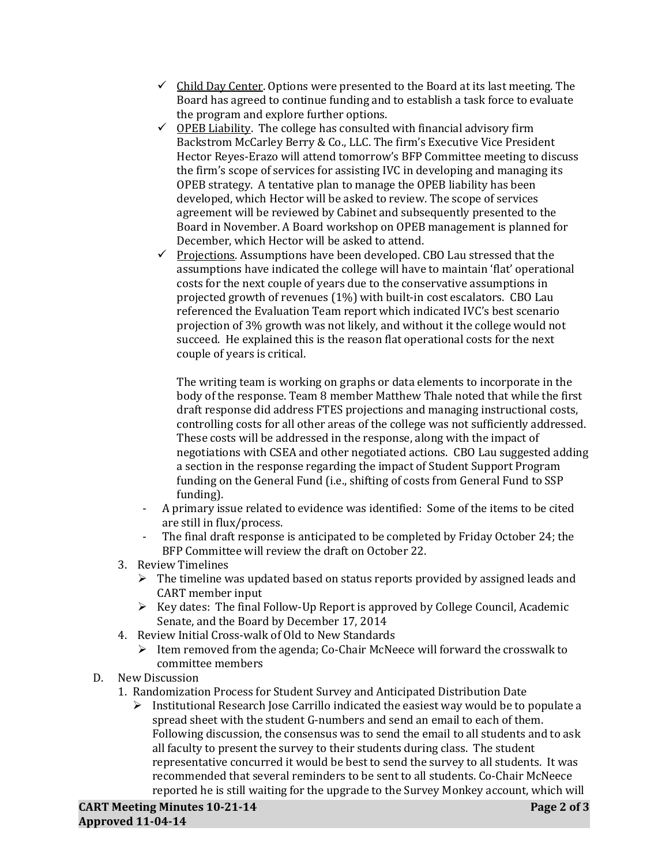- $\checkmark$  Child Day Center. Options were presented to the Board at its last meeting. The Board has agreed to continue funding and to establish a task force to evaluate the program and explore further options.
- $\checkmark$  OPEB Liability. The college has consulted with financial advisory firm Backstrom McCarley Berry & Co., LLC. The firm's Executive Vice President Hector Reyes-Erazo will attend tomorrow's BFP Committee meeting to discuss the firm's scope of services for assisting IVC in developing and managing its OPEB strategy. A tentative plan to manage the OPEB liability has been developed, which Hector will be asked to review. The scope of services agreement will be reviewed by Cabinet and subsequently presented to the Board in November. A Board workshop on OPEB management is planned for December, which Hector will be asked to attend.
- $\checkmark$  Projections. Assumptions have been developed. CBO Lau stressed that the assumptions have indicated the college will have to maintain 'flat' operational costs for the next couple of years due to the conservative assumptions in projected growth of revenues (1%) with built-in cost escalators. CBO Lau referenced the Evaluation Team report which indicated IVC's best scenario projection of 3% growth was not likely, and without it the college would not succeed. He explained this is the reason flat operational costs for the next couple of years is critical.

The writing team is working on graphs or data elements to incorporate in the body of the response. Team 8 member Matthew Thale noted that while the first draft response did address FTES projections and managing instructional costs, controlling costs for all other areas of the college was not sufficiently addressed. These costs will be addressed in the response, along with the impact of negotiations with CSEA and other negotiated actions. CBO Lau suggested adding a section in the response regarding the impact of Student Support Program funding on the General Fund (i.e., shifting of costs from General Fund to SSP funding).

- A primary issue related to evidence was identified: Some of the items to be cited are still in flux/process.
- The final draft response is anticipated to be completed by Friday October 24; the BFP Committee will review the draft on October 22.
- 3. Review Timelines
	- $\triangleright$  The timeline was updated based on status reports provided by assigned leads and CART member input
	- $\triangleright$  Key dates: The final Follow-Up Report is approved by College Council, Academic Senate, and the Board by December 17, 2014
- 4. Review Initial Cross-walk of Old to New Standards
	- $\triangleright$  Item removed from the agenda; Co-Chair McNeece will forward the crosswalk to committee members
- D. New Discussion
	- 1. Randomization Process for Student Survey and Anticipated Distribution Date
		- $\triangleright$  Institutional Research Jose Carrillo indicated the easiest way would be to populate a spread sheet with the student G-numbers and send an email to each of them. Following discussion, the consensus was to send the email to all students and to ask all faculty to present the survey to their students during class. The student representative concurred it would be best to send the survey to all students. It was recommended that several reminders to be sent to all students. Co-Chair McNeece reported he is still waiting for the upgrade to the Survey Monkey account, which will